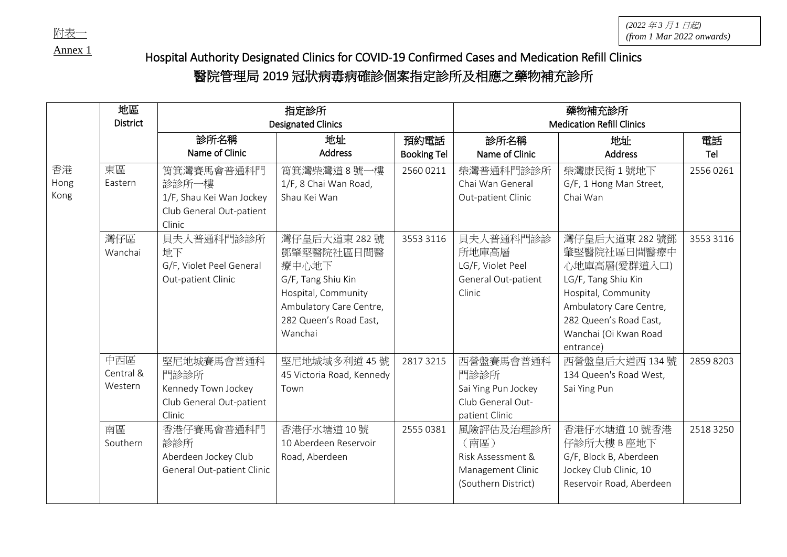Annex 1

*(2022* 年 *3* 月 *1* 日起*)*  $\frac{M}{\sqrt{2}}$  (*from 1 Mar* 2022 *onwards*)

## Hospital Authority Designated Clinics for COVID-19 Confirmed Cases and Medication Refill Clinics

## 醫院管理局 2019 冠狀病毒病確診個案指定診所及相應之藥物補充診所

|      | 地區              | 指定診所                       |                           |                    | 藥物補充診所                           |                          |           |
|------|-----------------|----------------------------|---------------------------|--------------------|----------------------------------|--------------------------|-----------|
|      | <b>District</b> | <b>Designated Clinics</b>  |                           |                    | <b>Medication Refill Clinics</b> |                          |           |
|      |                 | 診所名稱                       | 地址                        | 預約電話               | 診所名稱                             | 地址                       | 電話        |
|      |                 | Name of Clinic             | <b>Address</b>            | <b>Booking Tel</b> | Name of Clinic                   | <b>Address</b>           | Tel       |
| 香港   | 東區              | 筲箕灣賽馬會普通科門                 | 筲箕灣柴灣道8號一樓                | 2560 0211          | 柴灣普通科門診診所                        | 柴灣康民街 1號地下               | 25560261  |
| Hong | Eastern         | 診診所一樓                      | 1/F, 8 Chai Wan Road,     |                    | Chai Wan General                 | G/F, 1 Hong Man Street,  |           |
| Kong |                 | 1/F, Shau Kei Wan Jockey   | Shau Kei Wan              |                    | Out-patient Clinic               | Chai Wan                 |           |
|      |                 | Club General Out-patient   |                           |                    |                                  |                          |           |
|      |                 | Clinic                     |                           |                    |                                  |                          |           |
|      | 灣仔區             | 貝夫人普通科門診診所                 | 灣仔皇后大道東 282號              | 3553 3116          | 貝夫人普通科門診診                        | 灣仔皇后大道東 282號鄧            | 3553 3116 |
|      | Wanchai         | 地下                         | 鄧肇堅醫院社區日間醫                |                    | 所地庫高層                            | 肇堅醫院社區日間醫療中              |           |
|      |                 | G/F, Violet Peel General   | 療中心地下                     |                    | LG/F, Violet Peel                | 心地庫高層(愛群道入口)             |           |
|      |                 | Out-patient Clinic         | G/F, Tang Shiu Kin        |                    | General Out-patient              | LG/F, Tang Shiu Kin      |           |
|      |                 |                            | Hospital, Community       |                    | Clinic                           | Hospital, Community      |           |
|      |                 |                            | Ambulatory Care Centre,   |                    |                                  | Ambulatory Care Centre,  |           |
|      |                 |                            | 282 Queen's Road East,    |                    |                                  | 282 Queen's Road East,   |           |
|      |                 |                            | Wanchai                   |                    |                                  | Wanchai (Oi Kwan Road    |           |
|      |                 |                            |                           |                    |                                  | entrance)                |           |
|      | 中西區             | 堅尼地城賽馬會普通科                 | 堅尼地城域多利道 45號              | 2817 3215          | 西營盤賽馬會普通科                        | 西營盤皇后大道西 134號            | 2859 8203 |
|      | Central &       | 門診診所                       | 45 Victoria Road, Kennedy |                    | 門診診所                             | 134 Queen's Road West,   |           |
|      | Western         | Kennedy Town Jockey        | Town                      |                    | Sai Ying Pun Jockey              | Sai Ying Pun             |           |
|      |                 | Club General Out-patient   |                           |                    | Club General Out-                |                          |           |
|      |                 | Clinic                     |                           |                    | patient Clinic                   |                          |           |
|      | 南區              | 香港仔賽馬會普通科門                 | 香港仔水塘道10號                 | 2555 0381          | 風險評估及治理診所                        | 香港仔水塘道 10號香港             | 2518 3250 |
|      | Southern        | 診診所                        | 10 Aberdeen Reservoir     |                    | (南區)                             | 仔診所大樓 B 座地下              |           |
|      |                 | Aberdeen Jockey Club       | Road, Aberdeen            |                    | Risk Assessment &                | G/F, Block B, Aberdeen   |           |
|      |                 | General Out-patient Clinic |                           |                    | Management Clinic                | Jockey Club Clinic, 10   |           |
|      |                 |                            |                           |                    | (Southern District)              | Reservoir Road, Aberdeen |           |
|      |                 |                            |                           |                    |                                  |                          |           |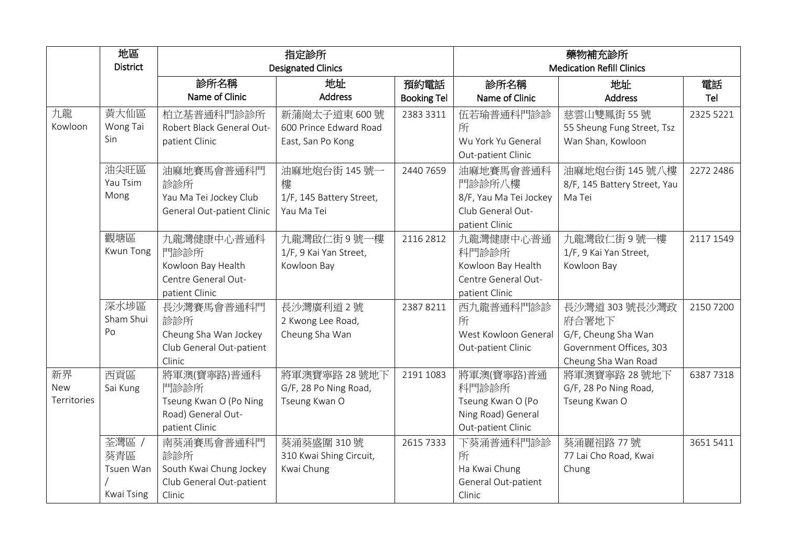|                          | 地區<br><b>District</b>                   | 指定診所<br><b>Designated Clinics</b>                                                     |                                                             |                            | 藥物補充診所<br><b>Medication Refill Clinics</b>                                           |                                                                                                  |           |
|--------------------------|-----------------------------------------|---------------------------------------------------------------------------------------|-------------------------------------------------------------|----------------------------|--------------------------------------------------------------------------------------|--------------------------------------------------------------------------------------------------|-----------|
|                          |                                         | 診所名稱<br>Name of Clinic                                                                | 地址<br><b>Address</b>                                        | 預約電話<br><b>Booking Tel</b> | 診所名稱<br>Name of Clinic                                                               | 地址<br><b>Address</b>                                                                             | 電話<br>Tel |
| 九龍<br>Kowloon            | 黄大仙區<br>Wong Tai<br>Sin.                | 柏立基普通科門診診所<br>Robert Black General Out-<br>patient Clinic                             | 新蒲崗太子道東 600號<br>600 Prince Edward Road<br>East, San Po Kong | 2383 3311                  | 伍若瑜普通科門診診<br>所<br>Wu York Yu General<br>Out-patient Clinic                           | 慈雲山雙鳳街 55號<br>55 Sheung Fung Street, Tsz<br>Wan Shan, Kowloon                                    | 2325 5221 |
|                          | 油尖旺區<br>Yau Tsim<br>Mong                | 油麻地賽馬會普通科門<br>診診所<br>Yau Ma Tei Jockey Club<br>General Out-patient Clinic             | 油麻地炮台街 145號一<br>樓<br>1/F, 145 Battery Street,<br>Yau Ma Tei | 2440 7659                  | 油麻地賽馬會普通科<br>門診診所八樓<br>8/F, Yau Ma Tei Jockey<br>Club General Out-<br>patient Clinic | 油麻地炮台街 145號八樓<br>8/F, 145 Battery Street, Yau<br>Ma Tei                                          | 2272 2486 |
|                          | 觀塘區<br>Kwun Tong                        | 九龍灣健康中心普通科<br>門診診所<br>Kowloon Bay Health<br>Centre General Out-<br>patient Clinic     | 九龍灣啟仁街9號一樓<br>1/F, 9 Kai Yan Street,<br>Kowloon Bay         | 2116 2812                  | 九龍灣健康中心普通<br>科門診診所<br>Kowloon Bay Health<br>Centre General Out-<br>patient Clinic    | 九龍灣啟仁街9號一樓<br>1/F, 9 Kai Yan Street,<br>Kowloon Bay                                              | 2117 1549 |
|                          | 深水埗區<br>Sham Shui<br>Po                 | 長沙灣賽馬會普通科門<br>診診所<br>Cheung Sha Wan Jockey<br>Club General Out-patient<br>Clinic      | 長沙灣廣利道2號<br>2 Kwong Lee Road,<br>Cheung Sha Wan             | 23878211                   | 西九龍普通科門診診<br>所<br>West Kowloon General<br>Out-patient Clinic                         | 長沙灣道 303 號長沙灣政<br>府合署地下<br>G/F, Cheung Sha Wan<br>Government Offices, 303<br>Cheung Sha Wan Road | 2150 7200 |
| 新界<br>New<br>Territories | 西貢區<br>Sai Kung                         | 將軍澳(寶寧路)普通科<br>門診診所<br>Tseung Kwan O (Po Ning<br>Road) General Out-<br>patient Clinic | 將軍澳寶寧路 28號地下<br>G/F, 28 Po Ning Road,<br>Tseung Kwan O      | 2191 1083                  | 將軍澳(寶寧路)普通<br>科門診診所<br>Tseung Kwan O (Po<br>Ning Road) General<br>Out-patient Clinic | 將軍澳寶寧路 28號地下<br>G/F, 28 Po Ning Road,<br>Tseung Kwan O                                           | 63877318  |
|                          | 荃灣區 /<br>葵青區<br>Tsuen Wan<br>Kwai Tsing | 南葵涌賽馬會普通科門<br>診診所<br>South Kwai Chung Jockey<br>Club General Out-patient<br>Clinic    | 葵涌葵盛圍 310號<br>310 Kwai Shing Circuit,<br>Kwai Chung         | 2615 7333                  | 下葵涌普通科門診診<br>所<br>Ha Kwai Chung<br>General Out-patient<br>Clinic                     | 葵涌麗祖路 77號<br>77 Lai Cho Road, Kwai<br>Chung                                                      | 36515411  |